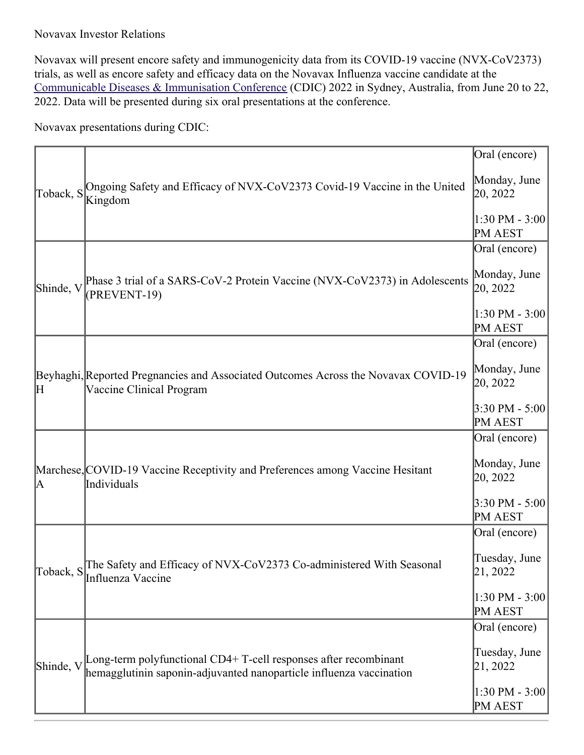## Novavax Investor Relations

Novavax will present encore safety and immunogenicity data from its COVID-19 vaccine (NVX-CoV2373) trials, as well as encore safety and efficacy data on the Novavax Influenza vaccine candidate at the [Communicable](https://www.cdic2022.com/) Diseases & Immunisation Conference (CDIC) 2022 in Sydney, Australia, from June 20 to 22, 2022. Data will be presented during six oral presentations at the conference.

Novavax presentations during CDIC:

| Toback, S   | Ongoing Safety and Efficacy of NVX-CoV2373 Covid-19 Vaccine in the United<br>Kingdom                                                    | Oral (encore)<br>Monday, June<br>20, 2022<br>$1:30$ PM - 3:00<br>PM AEST  |
|-------------|-----------------------------------------------------------------------------------------------------------------------------------------|---------------------------------------------------------------------------|
| Shinde, V   | Phase 3 trial of a SARS-CoV-2 Protein Vaccine (NVX-CoV2373) in Adolescents<br>(PREVENT-19)                                              | Oral (encore)<br>Monday, June<br>20, 2022<br>1:30 PM - 3:00<br>PM AEST    |
| $\mathbb H$ | Beyhaghi, Reported Pregnancies and Associated Outcomes Across the Novavax COVID-19<br>Vaccine Clinical Program                          | Oral (encore)<br>Monday, June<br>20, 2022<br>3:30 PM - 5:00 <br>PM AEST   |
| ΙA          | Marchese, COVID-19 Vaccine Receptivity and Preferences among Vaccine Hesitant<br>Individuals                                            | Oral (encore)<br>Monday, June<br>20, 2022<br>3:30 PM - 5:00 <br>PM AEST   |
| Toback, S   | The Safety and Efficacy of NVX-CoV2373 Co-administered With Seasonal<br>Influenza Vaccine                                               | Oral (encore)<br>Tuesday, June<br>21, 2022<br> 1:30 PM - 3:00 <br>PM AEST |
| Shinde, V   | Long-term polyfunctional CD4+ T-cell responses after recombinant<br>hemagglutinin saponin-adjuvanted nanoparticle influenza vaccination | Oral (encore)<br>Tuesday, June<br>21, 2022<br> 1:30 PM - 3:00 <br>PM AEST |